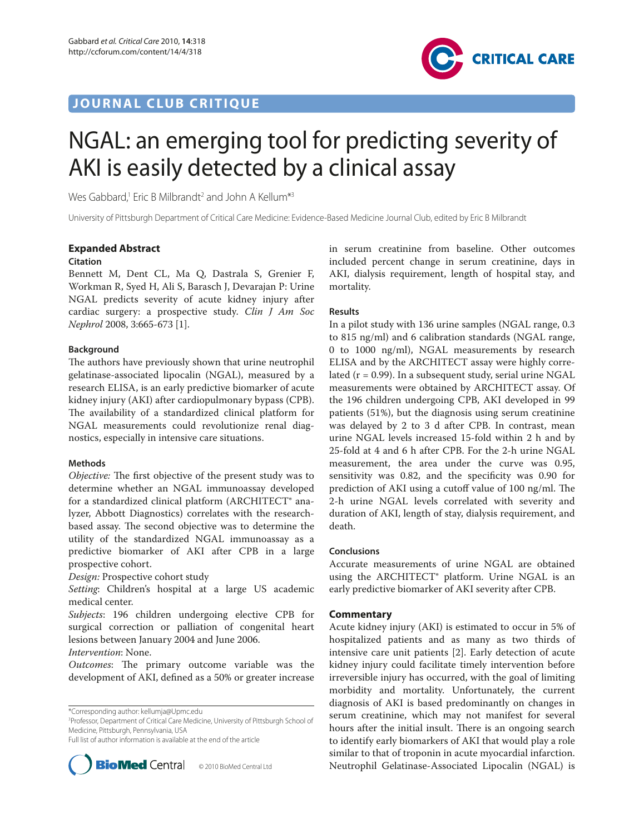# **JOURNAL CLUB CRITIQUE**



# NGAL: an emerging tool for predicting severity of AKI is easily detected by a clinical assay

Wes Gabbard,<sup>1</sup> Eric B Milbrandt<sup>2</sup> and John A Kellum<sup>\*3</sup>

University of Pittsburgh Department of Critical Care Medicine: Evidence-Based Medicine Journal Club, edited by Eric B Milbrandt

# **Expanded Abstract**

### **Citation**

Bennett M, Dent CL, Ma Q, Dastrala S, Grenier F, Workman R, Syed H, Ali S, Barasch J, Devarajan P: Urine NGAL predicts severity of acute kidney injury after cardiac surgery: a prospective study. *Clin J Am Soc Nephrol* 2008, 3:665-673 [1].

# **Background**

The authors have previously shown that urine neutrophil gelatinase-associated lipocalin (NGAL), measured by a research ELISA, is an early predictive biomarker of acute kidney injury (AKI) after cardiopulmonary bypass (CPB). The availability of a standardized clinical platform for NGAL measurements could revolutionize renal diagnostics, especially in intensive care situations.

# **Methods**

*Objective:* The first objective of the present study was to determine whether an NGAL immunoassay developed for a standardized clinical platform (ARCHITECT® analyzer, Abbott Diagnostics) correlates with the researchbased assay. The second objective was to determine the utility of the standardized NGAL immunoassay as a predictive biomarker of AKI after CPB in a large prospective cohort.

*Design:* Prospective cohort study

*Setting*: Children's hospital at a large US academic medical center.

*Subjects*: 196 children undergoing elective CPB for surgical correction or palliation of congenital heart lesions between January 2004 and June 2006.

*Intervention*: None.

*Outcomes*: The primary outcome variable was the development of AKI, defined as a 50% or greater increase

3 Professor, Department of Critical Care Medicine, University of Pittsburgh School of Medicine, Pittsburgh, Pennsylvania, USA

Full list of author information is available at the end of the article



in serum creatinine from baseline. Other outcomes included percent change in serum creatinine, days in AKI, dialysis requirement, length of hospital stay, and mortality.

# **Results**

In a pilot study with 136 urine samples (NGAL range, 0.3 to 815 ng/ml) and 6 calibration standards (NGAL range, 0 to 1000 ng/ml), NGAL measurements by research ELISA and by the ARCHITECT assay were highly correlated ( $r = 0.99$ ). In a subsequent study, serial urine NGAL measurements were obtained by ARCHITECT assay. Of the 196 children undergoing CPB, AKI developed in 99 patients (51%), but the diagnosis using serum creatinine was delayed by 2 to 3 d after CPB. In contrast, mean urine NGAL levels increased 15-fold within 2 h and by 25-fold at 4 and 6 h after CPB. For the 2-h urine NGAL measurement, the area under the curve was 0.95, sensitivity was 0.82, and the specificity was 0.90 for prediction of AKI using a cutoff value of  $100$  ng/ml. The 2-h urine NGAL levels correlated with severity and duration of AKI, length of stay, dialysis requirement, and death.

### **Conclusions**

Accurate measurements of urine NGAL are obtained using the ARCHITECT<sup>®</sup> platform. Urine NGAL is an early predictive biomarker of AKI severity after CPB.

### **Commentary**

Acute kidney injury (AKI) is estimated to occur in 5% of hospitalized patients and as many as two thirds of intensive care unit patients [2]. Early detection of acute kidney injury could facilitate timely intervention before irreversible injury has occurred, with the goal of limiting morbidity and mortality. Unfortunately, the current diagnosis of AKI is based predominantly on changes in serum creatinine, which may not manifest for several hours after the initial insult. There is an ongoing search to identify early biomarkers of AKI that would play a role similar to that of troponin in acute myocardial infarction. **BioMed** Central © 2010 BioMed Central Ltd Neutrophil Gelatinase-Associated Lipocalin (NGAL) is

<sup>\*</sup>Corresponding author: kellumja@Upmc.edu